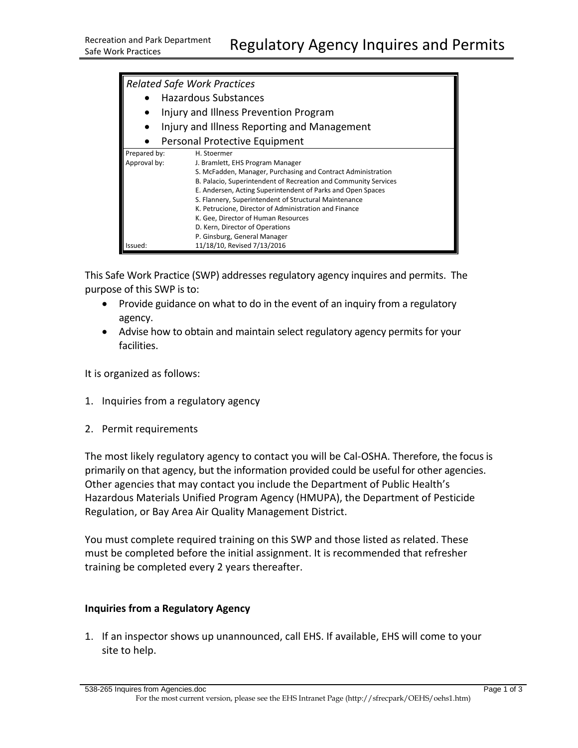| <b>Related Safe Work Practices</b>          |                                                                 |
|---------------------------------------------|-----------------------------------------------------------------|
|                                             | <b>Hazardous Substances</b>                                     |
|                                             |                                                                 |
| Injury and Illness Prevention Program       |                                                                 |
| Injury and Illness Reporting and Management |                                                                 |
| Personal Protective Equipment               |                                                                 |
| Prepared by:                                | H. Stoermer                                                     |
| Approval by:                                | J. Bramlett, EHS Program Manager                                |
|                                             | S. McFadden, Manager, Purchasing and Contract Administration    |
|                                             | B. Palacio, Superintendent of Recreation and Community Services |
|                                             | E. Andersen, Acting Superintendent of Parks and Open Spaces     |
|                                             | S. Flannery, Superintendent of Structural Maintenance           |
|                                             | K. Petrucione, Director of Administration and Finance           |
|                                             | K. Gee, Director of Human Resources                             |
|                                             | D. Kern, Director of Operations                                 |
|                                             | P. Ginsburg, General Manager                                    |
| Issued:                                     | 11/18/10, Revised 7/13/2016                                     |

This Safe Work Practice (SWP) addresses regulatory agency inquires and permits. The purpose of this SWP is to:

- Provide guidance on what to do in the event of an inquiry from a regulatory agency.
- Advise how to obtain and maintain select regulatory agency permits for your facilities.

It is organized as follows:

- 1. Inquiries from a regulatory agency
- 2. Permit requirements

The most likely regulatory agency to contact you will be Cal-OSHA. Therefore, the focus is primarily on that agency, but the information provided could be useful for other agencies. Other agencies that may contact you include the Department of Public Health's Hazardous Materials Unified Program Agency (HMUPA), the Department of Pesticide Regulation, or Bay Area Air Quality Management District.

You must complete required training on this SWP and those listed as related. These must be completed before the initial assignment. It is recommended that refresher training be completed every 2 years thereafter.

## **Inquiries from a Regulatory Agency**

1. If an inspector shows up unannounced, call EHS. If available, EHS will come to your site to help.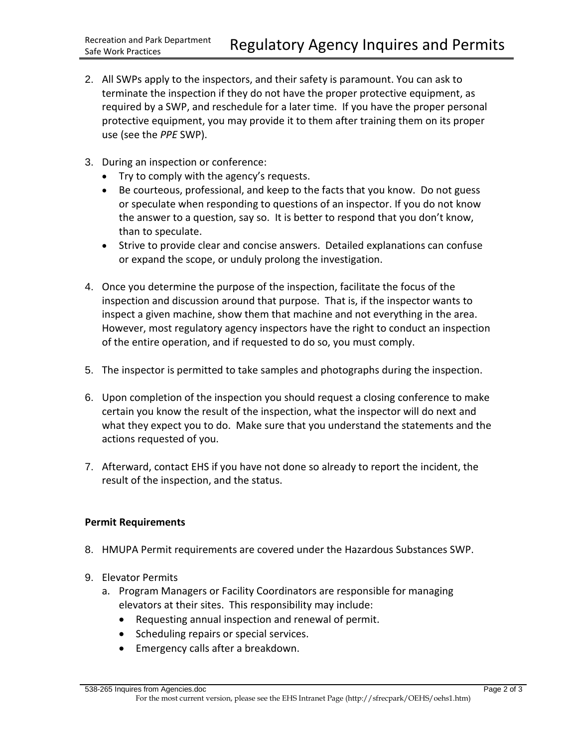- 2. All SWPs apply to the inspectors, and their safety is paramount. You can ask to terminate the inspection if they do not have the proper protective equipment, as required by a SWP, and reschedule for a later time. If you have the proper personal protective equipment, you may provide it to them after training them on its proper use (see the *PPE* SWP).
- 3. During an inspection or conference:
	- Try to comply with the agency's requests.
	- Be courteous, professional, and keep to the facts that you know. Do not guess or speculate when responding to questions of an inspector. If you do not know the answer to a question, say so. It is better to respond that you don't know, than to speculate.
	- Strive to provide clear and concise answers. Detailed explanations can confuse or expand the scope, or unduly prolong the investigation.
- 4. Once you determine the purpose of the inspection, facilitate the focus of the inspection and discussion around that purpose. That is, if the inspector wants to inspect a given machine, show them that machine and not everything in the area. However, most regulatory agency inspectors have the right to conduct an inspection of the entire operation, and if requested to do so, you must comply.
- 5. The inspector is permitted to take samples and photographs during the inspection.
- 6. Upon completion of the inspection you should request a closing conference to make certain you know the result of the inspection, what the inspector will do next and what they expect you to do. Make sure that you understand the statements and the actions requested of you.
- 7. Afterward, contact EHS if you have not done so already to report the incident, the result of the inspection, and the status.

## **Permit Requirements**

- 8. HMUPA Permit requirements are covered under the Hazardous Substances SWP.
- 9. Elevator Permits
	- a. Program Managers or Facility Coordinators are responsible for managing elevators at their sites. This responsibility may include:
		- Requesting annual inspection and renewal of permit.
		- Scheduling repairs or special services.
		- Emergency calls after a breakdown.